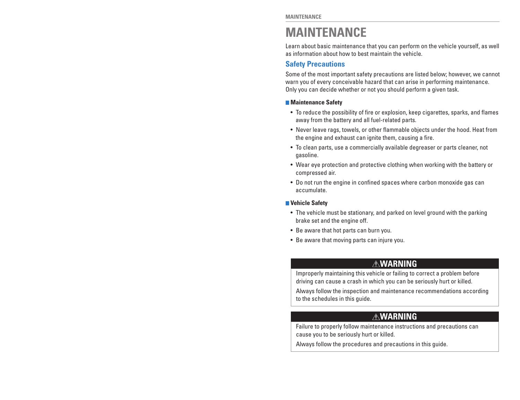# **MAINTENANCE**

Learn about basic maintenance that you can perform on the vehicle yourself, as well as information about how to best maintain the vehicle.

### **Safety Precautions**

Some of the most important safety precautions are listed below; however, we cannot warn you of every conceivable hazard that can arise in performing maintenance. Only you can decide whether or not you should perform a given task.

### **Maintenance Safety**

- To reduce the possibility of fire or explosion, keep cigarettes, sparks, and flames away from the battery and all fuel-related parts.
- Never leave rags, towels, or other flammable objects under the hood. Heat from the engine and exhaust can ignite them, causing a fire.
- To clean parts, use a commercially available degreaser or parts cleaner, not gasoline.
- Wear eye protection and protective clothing when working with the battery or compressed air.
- Do not run the engine in confined spaces where carbon monoxide gas can accumulate.

#### **Vehicle Safety**

- The vehicle must be stationary, and parked on level ground with the parking brake set and the engine off.
- Be aware that hot parts can burn you.
- Be aware that moving parts can injure you.

## **WARNING**

Improperly maintaining this vehicle or failing to correct a problem before driving can cause a crash in which you can be seriously hurt or killed.

Always follow the inspection and maintenance recommendations according to the schedules in this guide.

# **WARNING**

Failure to properly follow maintenance instructions and precautions can cause you to be seriously hurt or killed.

Always follow the procedures and precautions in this guide.